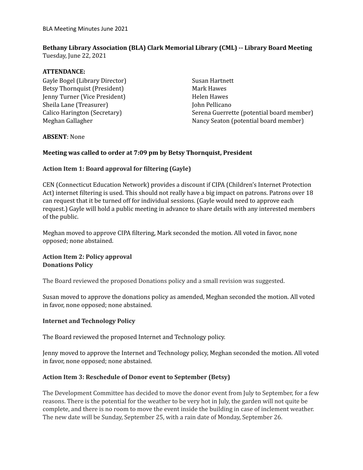# **Bethany Library Association (BLA) Clark Memorial Library (CML) -- Library Board Meeting**

Tuesday, June 22, 2021

## **ATTENDANCE:**

Gayle Bogel (Library Director) Betsy Thornquist (President) Jenny Turner (Vice President) Sheila Lane (Treasurer) Calico Harington (Secretary) Meghan Gallagher

Susan Hartnett Mark Hawes Helen Hawes John Pellicano Serena Guerrette (potential board member) Nancy Seaton (potential board member)

#### **ABSENT**: None

# **Meeting was called to order at 7:09 pm by Betsy Thornquist, President**

# **Action Item 1: Board approval for filtering (Gayle)**

CEN (Connecticut Education Network) provides a discount if CIPA (Children's Internet Protection Act) internet filtering is used. This should not really have a big impact on patrons. Patrons over 18 can request that it be turned off for individual sessions. (Gayle would need to approve each request.) Gayle will hold a public meeting in advance to share details with any interested members of the public.

Meghan moved to approve CIPA filtering, Mark seconded the motion. All voted in favor, none opposed; none abstained.

## **Action Item 2: Policy approval Donations Policy**

The Board reviewed the proposed Donations policy and a small revision was suggested.

Susan moved to approve the donations policy as amended, Meghan seconded the motion. All voted in favor, none opposed; none abstained.

#### **Internet and Technology Policy**

The Board reviewed the proposed Internet and Technology policy.

Jenny moved to approve the Internet and Technology policy, Meghan seconded the motion. All voted in favor, none opposed; none abstained.

# **Action Item 3: Reschedule of Donor event to September (Betsy)**

The Development Committee has decided to move the donor event from July to September, for a few reasons. There is the potential for the weather to be very hot in July, the garden will not quite be complete, and there is no room to move the event inside the building in case of inclement weather. The new date will be Sunday, September 25, with a rain date of Monday, September 26.